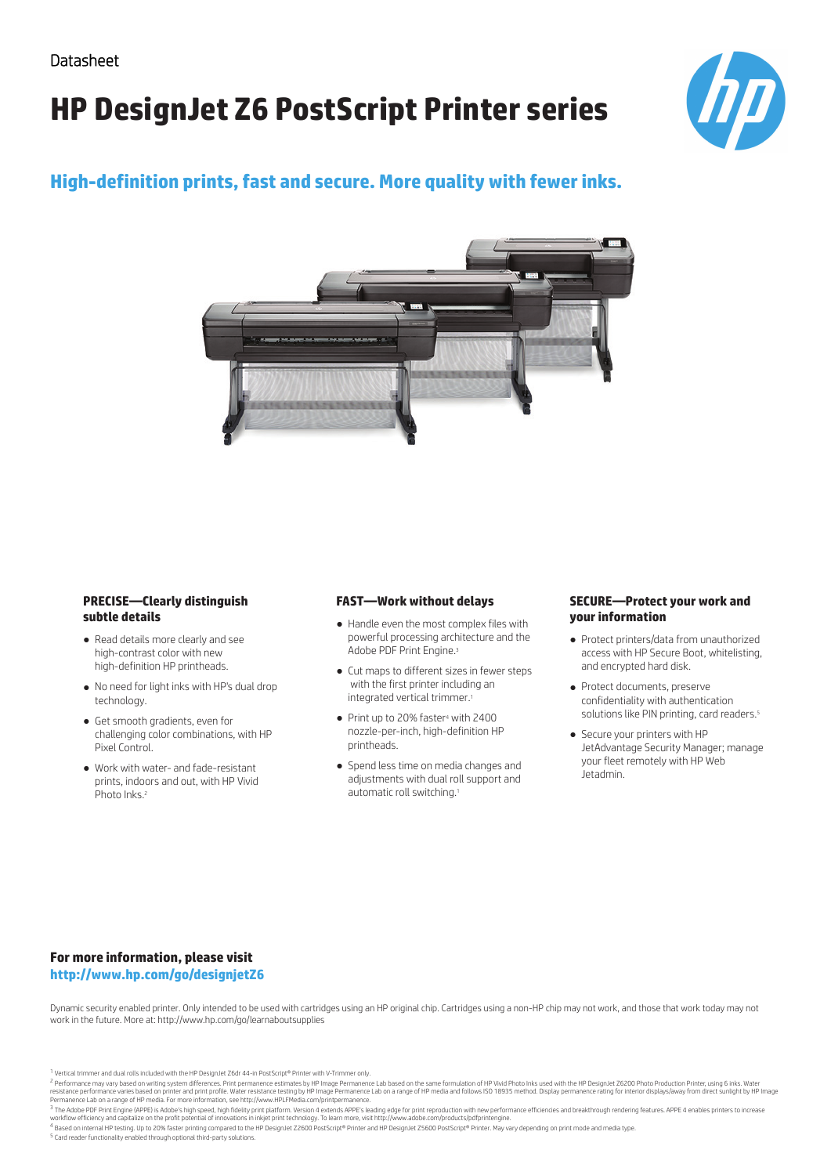# **HP DesignJet Z6 PostScript Printer series**



## **High-definition prints, fast and secure. More quality with fewer inks.**



#### **PRECISE—Clearly distinguish subtle details**

- Read details more clearly and see high-contrast color with new high-definition HP printheads.
- No need for light inks with HP's dual drop technology.
- Get smooth gradients, even for challenging color combinations, with HP Pixel Control.
- Work with water- and fade-resistant prints, indoors and out, with HP Vivid Photo Inks.<sup>2</sup>

#### **FAST—Work without delays**

- Handle even the most complex files with powerful processing architecture and the Adobe PDF Print Engine.<sup>3</sup>
- Cut maps to different sizes in fewer steps with the first printer including an integrated vertical trimmer.1
- Print up to 20% faster<sup>4</sup> with 2400 nozzle-per-inch, high-definition HP printheads.
- Spend less time on media changes and adjustments with dual roll support and automatic roll switching.1

#### **SECURE—Protect your work and your information**

- Protect printers/data from unauthorized access with HP Secure Boot, whitelisting, and encrypted hard disk.
- Protect documents, preserve confidentiality with authentication solutions like PIN printing, card readers.<sup>5</sup>
- Secure your printers with HP JetAdvantage Security Manager; manage your fleet remotely with HP Web Jetadmin.

### **For more information, please visit http://www.hp.com/go/designjetZ6**

5 Card reader functionality enabled through optional third-party solutions.

Dynamic security enabled printer. Only intended to be used with cartridges using an HP original chip. Cartridges using a non-HP chip may not work, and those that work today may not work in the future. More at: http://www.hp.com/go/learnaboutsupplies

<sup>1</sup> Based on internal HP testing. Up to 20% faster printing compared to the HP DesignJet Z2600 PostScript® Printer and HP DesignJet Z5600 PostScript® Printer. May vary depending on print mode and media type.

<sup>1</sup> Vertical trimmer and dual rolls included with the HP DesignJet Z6dr 44-in PostScript® Printer with V-Trimmer only.

<sup>&</sup>lt;sup>2</sup> Performance may vary based on writing system differences. Print permanence estimates by HP Image Permanence Lab based on the same formulation of HP Vivid Photo Inks used with the HP DesignJet Z6200 Photo Production Pri

<sup>&</sup>lt;sup>3</sup> The Adobe PDF Print Engine (APPE) is Adobe's high speed, high fidelity print platform. Version 4 extends APPE's leading edge for print reproduction with new performance efficiencies and breakthrough rendering features. workflow efficiency and capitalize on the profit potential of innovations in inkjet print technology. To learn more, visit http://www.adobe.com/products/pdfprintengine